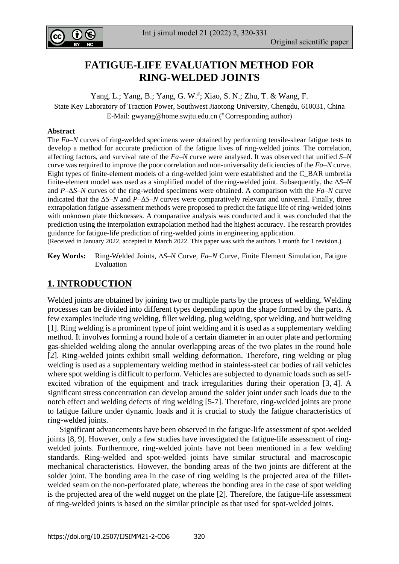

Int j simul model 21 (2022) 2, 320-331

# **FATIGUE-LIFE EVALUATION METHOD FOR RING-WELDED JOINTS**

Yang, L.; Yang, B.; Yang, G. W.<sup>#</sup>; Xiao, S. N.; Zhu, T. & Wang, F. State Key Laboratory of Traction Power, Southwest Jiaotong University, Chengdu, 610031, China E-Mail: [gwyang@home.swjtu.edu.cn](mailto:gwyang@home.swjtu.edu.cn) ( #Corresponding author)

#### **Abstract**

The *Fa*–*N* curves of ring-welded specimens were obtained by performing tensile-shear fatigue tests to develop a method for accurate prediction of the fatigue lives of ring-welded joints. The correlation, affecting factors, and survival rate of the *Fa–N* curve were analysed. It was observed that unified *S–N* curve was required to improve the poor correlation and non-universality deficiencies of the *Fa–N* curve. Eight types of finite-element models of a ring-welded joint were established and the C\_BAR umbrella finite-element model was used as a simplified model of the ring-welded joint. Subsequently, the Δ*S*–*N* and *P*–Δ*S*–*N* curves of the ring-welded specimens were obtained. A comparison with the *Fa–N* curve indicated that the Δ*S*–*N* and *P*–Δ*S*–*N* curves were comparatively relevant and universal. Finally, three extrapolation fatigue-assessment methods were proposed to predict the fatigue life of ring-welded joints with unknown plate thicknesses. A comparative analysis was conducted and it was concluded that the prediction using the interpolation extrapolation method had the highest accuracy. The research provides guidance for fatigue-life prediction of ring-welded joints in engineering application. (Received in January 2022, accepted in March 2022. This paper was with the authors 1 month for 1 revision.)

**Key Words:** Ring-Welded Joints, Δ*S*–*N* Curve, *Fa–N* Curve, Finite Element Simulation, Fatigue

# **1. INTRODUCTION**

Welded joints are obtained by joining two or multiple parts by the process of welding. Welding processes can be divided into different types depending upon the shape formed by the parts. A few examples include ring welding, fillet welding, plug welding, spot welding, and butt welding [1]. Ring welding is a prominent type of joint welding and it is used as a supplementary welding method. It involves forming a round hole of a certain diameter in an outer plate and performing gas-shielded welding along the annular overlapping areas of the two plates in the round hole [2]. Ring-welded joints exhibit small welding deformation. Therefore, ring welding or plug welding is used as a supplementary welding method in stainless-steel car bodies of rail vehicles where spot welding is difficult to perform. Vehicles are subjected to dynamic loads such as selfexcited vibration of the equipment and track irregularities during their operation [3, 4]. A significant stress concentration can develop around the solder joint under such loads due to the notch effect and welding defects of ring welding [5-7]. Therefore, ring-welded joints are prone to fatigue failure under dynamic loads and it is crucial to study the fatigue characteristics of ring-welded joints.

Significant advancements have been observed in the fatigue-life assessment of spot-welded joints [8, 9]. However, only a few studies have investigated the fatigue-life assessment of ringwelded joints. Furthermore, ring-welded joints have not been mentioned in a few welding standards. Ring-welded and spot-welded joints have similar structural and macroscopic mechanical characteristics. However, the bonding areas of the two joints are different at the solder joint. The bonding area in the case of ring welding is the projected area of the filletwelded seam on the non-perforated plate, whereas the bonding area in the case of spot welding is the projected area of the weld nugget on the plate [2]. Therefore, the fatigue-life assessment of ring-welded joints is based on the similar principle as that used for spot-welded joints.

Evaluation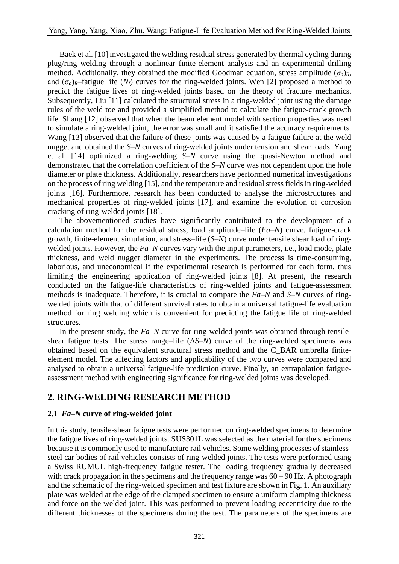Baek et al. [10] investigated the welding residual stress generated by thermal cycling during plug/ring welding through a nonlinear finite-element analysis and an experimental drilling method. Additionally, they obtained the modified Goodman equation, stress amplitude  $(\sigma_a)_R$ , and  $(\sigma_a)_R$ –fatigue life  $(N_f)$  curves for the ring-welded joints. Wen [2] proposed a method to predict the fatigue lives of ring-welded joints based on the theory of fracture mechanics. Subsequently, Liu [11] calculated the structural stress in a ring-welded joint using the damage rules of the weld toe and provided a simplified method to calculate the fatigue-crack growth life. Shang [12] observed that when the beam element model with section properties was used to simulate a ring-welded joint, the error was small and it satisfied the accuracy requirements. Wang [13] observed that the failure of these joints was caused by a fatigue failure at the weld nugget and obtained the *S–N* curves of ring-welded joints under tension and shear loads. Yang et al. [14] optimized a ring-welding *S–N* curve using the quasi-Newton method and demonstrated that the correlation coefficient of the *S–N* curve was not dependent upon the hole diameter or plate thickness. Additionally, researchers have performed numerical investigations on the process of ring welding [15], and the temperature and residual stress fields in ring-welded joints [16]. Furthermore, research has been conducted to analyse the microstructures and mechanical properties of ring-welded joints [17], and examine the evolution of corrosion cracking of ring-welded joints [18].

The abovementioned studies have significantly contributed to the development of a calculation method for the residual stress, load amplitude–life (*Fa–N*) curve, fatigue-crack growth, finite-element simulation, and stress–life (*S–N*) curve under tensile shear load of ringwelded joints. However, the *Fa–N* curves vary with the input parameters, i.e., load mode, plate thickness, and weld nugget diameter in the experiments. The process is time-consuming, laborious, and uneconomical if the experimental research is performed for each form, thus limiting the engineering application of ring-welded joints [8]. At present, the research conducted on the fatigue-life characteristics of ring-welded joints and fatigue-assessment methods is inadequate. Therefore, it is crucial to compare the *Fa–N* and *S–N* curves of ringwelded joints with that of different survival rates to obtain a universal fatigue-life evaluation method for ring welding which is convenient for predicting the fatigue life of ring-welded structures.

In the present study, the *Fa–N* curve for ring-welded joints was obtained through tensileshear fatigue tests. The stress range–life  $(\Delta S-N)$  curve of the ring-welded specimens was obtained based on the equivalent structural stress method and the C\_BAR umbrella finiteelement model. The affecting factors and applicability of the two curves were compared and analysed to obtain a universal fatigue-life prediction curve. Finally, an extrapolation fatigueassessment method with engineering significance for ring-welded joints was developed.

# **2. RING-WELDING RESEARCH METHOD**

### **2.1** *Fa–N* **curve of ring-welded joint**

In this study, tensile-shear fatigue tests were performed on ring-welded specimens to determine the fatigue lives of ring-welded joints. SUS301L was selected as the material for the specimens because it is commonly used to manufacture rail vehicles. Some welding processes of stainlesssteel car bodies of rail vehicles consists of ring-welded joints. The tests were performed using a Swiss RUMUL high-frequency fatigue tester. The loading frequency gradually decreased with crack propagation in the specimens and the frequency range was  $60 - 90$  Hz. A photograph and the schematic of the ring-welded specimen and test fixture are shown in Fig. 1. An auxiliary plate was welded at the edge of the clamped specimen to ensure a uniform clamping thickness and force on the welded joint. This was performed to prevent loading eccentricity due to the different thicknesses of the specimens during the test. The parameters of the specimens are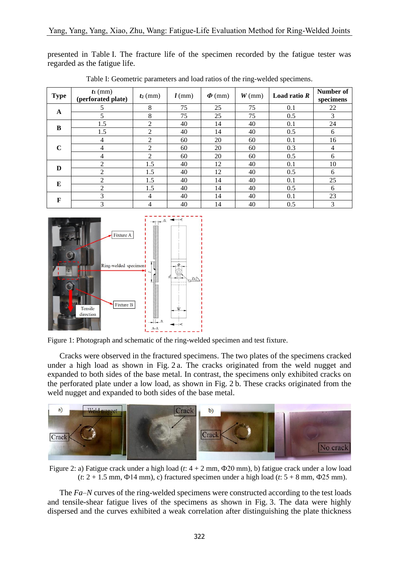presented in Table I. The fracture life of the specimen recorded by the fatigue tester was regarded as the fatigue life.

| <b>Type</b> | $t_1$ (mm)<br>(perforated plate) | $t_2$ (mm)     | $l$ (mm) | $\boldsymbol{\varPhi}$ (mm) | $W$ (mm) | Load ratio $R$ | Number of<br>specimens |
|-------------|----------------------------------|----------------|----------|-----------------------------|----------|----------------|------------------------|
|             | 5                                | 8              | 75       | 25                          | 75       | 0.1            | 22                     |
| $\mathbf A$ | 5                                | 8              | 75       | 25                          | 75       | 0.5            | 3                      |
|             | 1.5                              | $\overline{2}$ | 40       | 14                          | 40       | 0.1            | 24                     |
| B           | 1.5                              | 2              | 40       | 14                          | 40       | 0.5            | 6                      |
| $\mathbf C$ | 4                                | $\overline{c}$ | 60       | 20                          | 60       | 0.1            | 16                     |
|             | 4                                | 2              | 60       | 20                          | 60       | 0.3            | $\overline{4}$         |
|             | 4                                | $\mathfrak{D}$ | 60       | 20                          | 60       | 0.5            | 6                      |
| D           | 2                                | 1.5            | 40       | 12                          | 40       | 0.1            | 10                     |
|             | 2                                | 1.5            | 40       | 12                          | 40       | 0.5            | 6                      |
|             | 2                                | 1.5            | 40       | 14                          | 40       | 0.1            | 25                     |
| E           | 2                                | 1.5            | 40       | 14                          | 40       | 0.5            | 6                      |
| F           | 3                                | 4              | 40       | 14                          | 40       | 0.1            | 23                     |
|             | 3                                | 4              | 40       | 14                          | 40       | 0.5            | 3                      |

Table I: Geometric parameters and load ratios of the ring-welded specimens.



Figure 1: Photograph and schematic of the ring-welded specimen and test fixture.

Cracks were observed in the fractured specimens. The two plates of the specimens cracked under a high load as shown in Fig. 2 a. The cracks originated from the weld nugget and expanded to both sides of the base metal. In contrast, the specimens only exhibited cracks on the perforated plate under a low load, as shown in Fig. 2 b. These cracks originated from the weld nugget and expanded to both sides of the base metal.



Figure 2: a) Fatigue crack under a high load (*t*: 4 + 2 mm, Ф20 mm), b) fatigue crack under a low load (*t*: 2 + 1.5 mm, Ф14 mm), c) fractured specimen under a high load (*t*: 5 + 8 mm, Ф25 mm).

The *Fa–N* curves of the ring-welded specimens were constructed according to the test loads and tensile-shear fatigue lives of the specimens as shown in Fig. 3. The data were highly dispersed and the curves exhibited a weak correlation after distinguishing the plate thickness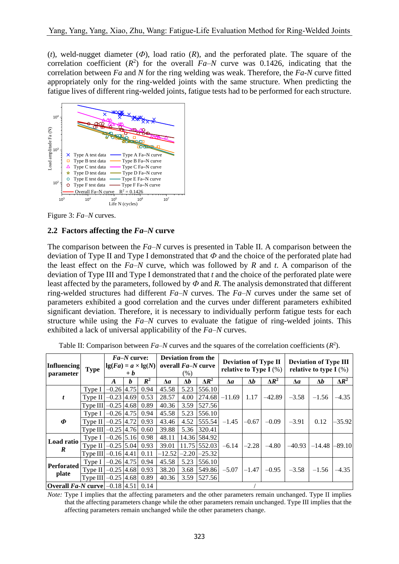(*t*), weld-nugget diameter (*Ф*), load ratio (*R*), and the perforated plate. The square of the correlation coefficient  $(R^2)$  for the overall  $Fa-N$  curve was 0.1426, indicating that the correlation between *Fa* and *N* for the ring welding was weak. Therefore, the *Fa-N* curve fitted appropriately only for the ring-welded joints with the same structure. When predicting the fatigue lives of different ring-welded joints, fatigue tests had to be performed for each structure.



Figure 3: *Fa–N* curves.

### **2.2 Factors affecting the** *Fa–N* **curve**

The comparison between the *Fa–N* curves is presented in Table II. A comparison between the deviation of Type II and Type I demonstrated that *Ф* and the choice of the perforated plate had the least effect on the *Fa–N* curve, which was followed by *R* and *t*. A comparison of the deviation of Type III and Type I demonstrated that *t* and the choice of the perforated plate were least affected by the parameters, followed by *Ф* and *R*. The analysis demonstrated that different ring-welded structures had different *Fa–N* curves. The *Fa–N* curves under the same set of parameters exhibited a good correlation and the curves under different parameters exhibited significant deviation. Therefore, it is necessary to individually perform fatigue tests for each structure while using the *Fa–N* curves to evaluate the fatigue of ring-welded joints. This exhibited a lack of universal applicability of the *Fa–N* curves.

| Influencing<br>parameter            | <b>Type</b>                  | $Fa-N$ curve:<br>$\left  \lg(Fa) = a \times \lg(N) \right $<br>$+ b$ |   |       | <b>Deviation from the</b><br>overall <i>Fa-N</i> curve<br>(% ) |            |                  | <b>Deviation of Type II</b><br>relative to Type I $(\%)$ |           |              | <b>Deviation of Type III</b><br>relative to type I $(\%)$ |                                |              |
|-------------------------------------|------------------------------|----------------------------------------------------------------------|---|-------|----------------------------------------------------------------|------------|------------------|----------------------------------------------------------|-----------|--------------|-----------------------------------------------------------|--------------------------------|--------------|
|                                     |                              | $\bm{A}$                                                             | b | $R^2$ | $\Delta a$                                                     | $\Delta b$ | $\Delta R^2$     | $\Delta a$                                               | Δb        | $\Delta R^2$ | $\Delta a$                                                | $\Delta b$                     | $\Delta R^2$ |
|                                     | Type I                       | $-0.26$ 4.75                                                         |   | 0.94  | 45.58                                                          | 5.23       | 556.10           | $-11.69$                                                 | 1.17      | $-42.89$     | $-3.58$                                                   | $-1.56$                        | $-4.35$      |
| t                                   | Type II $-0.23$ 4.69         |                                                                      |   | 0.53  | 28.57                                                          | 4.00       | 274.68           |                                                          |           |              |                                                           |                                |              |
|                                     | Type III $-0.25$ 4.68 0.89   |                                                                      |   |       | 40.36                                                          | 3.59       | 527.56           |                                                          |           |              |                                                           |                                |              |
|                                     | Type I                       | $-0.26$ 4.75                                                         |   | 0.94  | 45.58                                                          | 5.23       | 556.10           | $-1.45$                                                  | $-0.67$   | $-0.09$      | $-3.91$                                                   | 0.12                           | $-35.92$     |
| $\boldsymbol{\varPhi}$              | Type II                      | $-0.25$ 4.72                                                         |   | 0.93  | 43.46                                                          | 4.52       | 555.54           |                                                          |           |              |                                                           |                                |              |
|                                     | Type III $-0.25$ [4.76] 0.60 |                                                                      |   |       | 39.88                                                          | 5.36       | 320.41           |                                                          |           |              |                                                           |                                |              |
| Load ratio                          | Type I                       | $-0.26$ 5.16 0.98                                                    |   |       | 48.11                                                          |            | 14.36 584.92     |                                                          | $ -2.28 $ | $-4.80$      |                                                           | $-40.93$   $-14.48$   $-89.10$ |              |
| R                                   | Type II $-0.25$ 5.04         |                                                                      |   | 0.93  | 39.01                                                          |            | 11.75 552.03     | $-6.14$                                                  |           |              |                                                           |                                |              |
|                                     | Type III $-0.16$ 4.41        |                                                                      |   | 0.11  | $-12.52$                                                       |            | $-2.20$ $-25.32$ |                                                          |           |              |                                                           |                                |              |
| <b>Perforated</b>                   | Type I                       | $-0.26$ 4.75 0.94                                                    |   |       | 45.58                                                          | 5.23       | 556.10           | $-5.07$                                                  | $-1.47$   | $-0.95$      | $-3.58$                                                   |                                | $-4.35$      |
|                                     | Type II                      | $-0.25$ 4.68 0.93                                                    |   |       | 38.20                                                          | 3.68       | 549.86           |                                                          |           |              |                                                           | $-1.56$                        |              |
| plate                               | Type III $ -0.25 4.68 0.89$  |                                                                      |   |       | 40.36                                                          | 3.59       | 527.56           |                                                          |           |              |                                                           |                                |              |
| Overall $Fa-N$ curve $0.1814511014$ |                              |                                                                      |   |       |                                                                |            |                  |                                                          |           |              |                                                           |                                |              |

Table II: Comparison between  $Fa-N$  curves and the squares of the correlation coefficients  $(R^2)$ .

**Overall** *Fa-N* **curve**  $-0.18$  [4.51] 0.14

*Note:* Type I implies that the affecting parameters and the other parameters remain unchanged. Type II implies that the affecting parameters change while the other parameters remain unchanged. Type III implies that the affecting parameters remain unchanged while the other parameters change.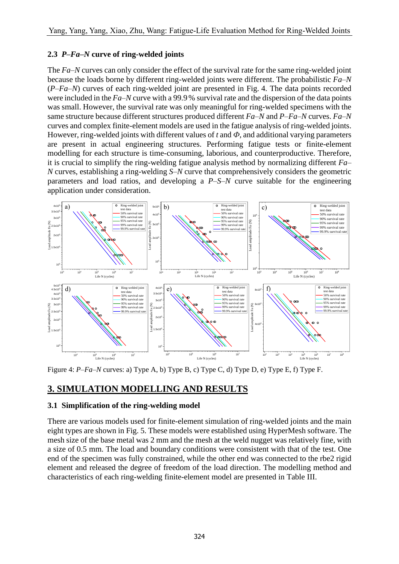## **2.3** *P***–***Fa–N* **curve of ring-welded joints**

The *Fa–N* curves can only consider the effect of the survival rate for the same ring-welded joint because the loads borne by different ring-welded joints were different. The probabilistic *Fa–N* (*P*–*Fa–N*) curves of each ring-welded joint are presented in Fig. 4. The data points recorded were included in the *Fa*–*N* curve with a 99.9 % survival rate and the dispersion of the data points was small. However, the survival rate was only meaningful for ring-welded specimens with the same structure because different structures produced different *Fa–N* and *P*–*Fa–N* curves. *Fa–N* curves and complex finite-element models are used in the fatigue analysis of ring-welded joints. However, ring-welded joints with different values of *t* and *Ф*, and additional varying parameters are present in actual engineering structures. Performing fatigue tests or finite-element modelling for each structure is time-consuming, laborious, and counterproductive. Therefore, it is crucial to simplify the ring-welding fatigue analysis method by normalizing different *Fa– N* curves, establishing a ring-welding *S–N* curve that comprehensively considers the geometric parameters and load ratios, and developing a *P*–*S–N* curve suitable for the engineering application under consideration.



Figure 4: *P*–*Fa–N* curves: a) Type A, b) Type B, c) Type C, d) Type D, e) Type E, f) Type F.

# **3. SIMULATION MODELLING AND RESULTS**

### **3.1 Simplification of the ring-welding model**

There are various models used for finite-element simulation of ring-welded joints and the main eight types are shown in Fig. 5. These models were established using HyperMesh software. The mesh size of the base metal was 2 mm and the mesh at the weld nugget was relatively fine, with a size of 0.5 mm. The load and boundary conditions were consistent with that of the test. One end of the specimen was fully constrained, while the other end was connected to the rbe2 rigid element and released the degree of freedom of the load direction. The modelling method and characteristics of each ring-welding finite-element model are presented in Table III.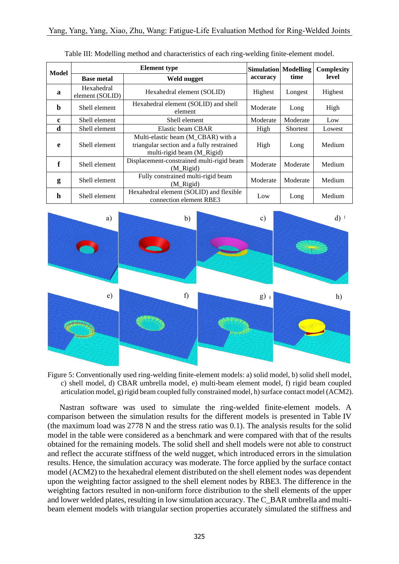| <b>Model</b> |                               | <b>Element</b> type                                                                                           | <b>Simulation</b> Modelling |                 | <b>Complexity</b><br>level |  |
|--------------|-------------------------------|---------------------------------------------------------------------------------------------------------------|-----------------------------|-----------------|----------------------------|--|
|              | <b>Base metal</b>             | Weld nugget                                                                                                   | accuracy                    | time            |                            |  |
| a            | Hexahedral<br>element (SOLID) | Hexahedral element (SOLID)                                                                                    | Highest                     | Longest         | Highest                    |  |
| b            | Shell element                 | Hexahedral element (SOLID) and shell<br>element                                                               | Moderate                    | Long            | High                       |  |
| $\mathbf c$  | Shell element                 | Shell element                                                                                                 | Moderate                    | Moderate        | Low                        |  |
| d            | Shell element                 | Elastic beam CBAR                                                                                             | High                        | <b>Shortest</b> | Lowest                     |  |
| e            | Shell element                 | Multi-elastic beam (M_CBAR) with a<br>triangular section and a fully restrained<br>multi-rigid beam (M Rigid) | High                        | Long            | Medium                     |  |
| f            | Shell element                 | Displacement-constrained multi-rigid beam<br>(M Rigid)                                                        | Moderate                    | Moderate        | Medium                     |  |
| g            | Shell element                 | Fully constrained multi-rigid beam<br>(M Rigid)                                                               | Moderate                    | Moderate        | Medium                     |  |
| h            | Shell element                 | Hexahedral element (SOLID) and flexible<br>connection element RBE3                                            | Low                         | Long            | Medium                     |  |

| Table III: Modelling method and characteristics of each ring-welding finite-element model. |  |  |
|--------------------------------------------------------------------------------------------|--|--|
|                                                                                            |  |  |



Figure 5: Conventionally used ring-welding finite-element models: a) solid model, b) solid shell model, c) shell model, d) CBAR umbrella model, e) multi-beam element model, f) rigid beam coupled articulation model, g) rigid beam coupled fully constrained model, h) surface contact model (ACM2).

Nastran software was used to simulate the ring-welded finite-element models. A comparison between the simulation results for the different models is presented in Table IV (the maximum load was 2778 N and the stress ratio was 0.1). The analysis results for the solid model in the table were considered as a benchmark and were compared with that of the results obtained for the remaining models. The solid shell and shell models were not able to construct and reflect the accurate stiffness of the weld nugget, which introduced errors in the simulation results. Hence, the simulation accuracy was moderate. The force applied by the surface contact model (ACM2) to the hexahedral element distributed on the shell element nodes was dependent upon the weighting factor assigned to the shell element nodes by RBE3. The difference in the weighting factors resulted in non-uniform force distribution to the shell elements of the upper and lower welded plates, resulting in low simulation accuracy. The C\_BAR umbrella and multibeam element models with triangular section properties accurately simulated the stiffness and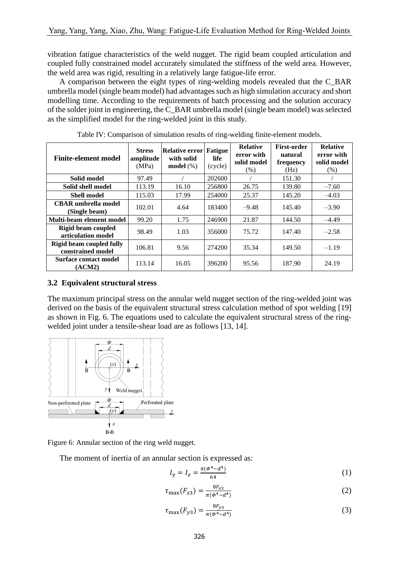vibration fatigue characteristics of the weld nugget. The rigid beam coupled articulation and coupled fully constrained model accurately simulated the stiffness of the weld area. However, the weld area was rigid, resulting in a relatively large fatigue-life error.

A comparison between the eight types of ring-welding models revealed that the C\_BAR umbrella model (single beam model) had advantages such as high simulation accuracy and short modelling time. According to the requirements of batch processing and the solution accuracy of the solder joint in engineering, the C\_BAR umbrella model (single beam model) was selected as the simplified model for the ring-welded joint in this study.

| <b>Finite-element model</b>                          | <b>Stress</b><br>amplitude<br>(MPa) | <b>Relative error</b><br>with solid<br>model $(\%)$ | <b>Fatigue</b><br>life<br>(cycle) | <b>Relative</b><br>error with<br>solid model<br>(% ) | <b>First-order</b><br>natural<br>frequency<br>(Hz) | <b>Relative</b><br>error with<br>solid model<br>(% ) |
|------------------------------------------------------|-------------------------------------|-----------------------------------------------------|-----------------------------------|------------------------------------------------------|----------------------------------------------------|------------------------------------------------------|
| Solid model                                          | 97.49                               |                                                     | 202600                            |                                                      | 151.30                                             |                                                      |
| Solid shell model                                    | 113.19                              | 16.10                                               | 256800                            | 26.75                                                | 139.80                                             | $-7.60$                                              |
| <b>Shell model</b>                                   | 115.03                              | 17.99                                               | 254000                            | 25.37                                                | 145.20                                             | $-4.03$                                              |
| <b>CBAR</b> umbrella model<br>(Single beam)          | 102.01                              | 4.64                                                | 183400                            | $-9.48$                                              | 145.40                                             | $-3.90$                                              |
| Multi-beam element model                             | 99.20                               | 1.75                                                | 246900                            | 21.87                                                | 144.50                                             | $-4.49$                                              |
| Rigid beam coupled<br>articulation model             | 98.49                               | 1.03                                                | 356000                            | 75.72                                                | 147.40                                             | $-2.58$                                              |
| <b>Rigid beam coupled fully</b><br>constrained model | 106.81                              | 9.56                                                | 274200                            | 35.34                                                | 149.50                                             | $-1.19$                                              |
| Surface contact model<br>(ACM2)                      | 113.14                              | 16.05                                               | 396200                            | 95.56                                                | 187.90                                             | 24.19                                                |

Table IV: Comparison of simulation results of ring-welding finite-element models.

### **3.2 Equivalent structural stress**

The maximum principal stress on the annular weld nugget section of the ring-welded joint was derived on the basis of the equivalent structural stress calculation method of spot welding [19] as shown in Fig. 6. The equations used to calculate the equivalent structural stress of the ringwelded joint under a tensile-shear load are as follows [13, 14].



Figure 6: Annular section of the ring weld nugget.

The moment of inertia of an annular section is expressed as:

$$
I_{y} = I_{z} = \frac{\pi(\Phi^{4} - d^{4})}{64}
$$
 (1)

$$
\tau_{\max}(F_{x3}) = \frac{8F_{x3}}{\pi(\Phi^4 - d^4)}\tag{2}
$$

$$
\tau_{\text{max}}(F_{y3}) = \frac{8F_{y3}}{\pi(\Phi^4 - d^4)}\tag{3}
$$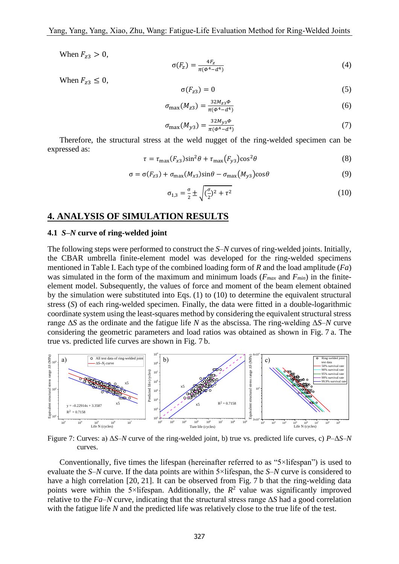When  $F_{z3} > 0$ ,

$$
\sigma(F_z) = \frac{4F_z}{\pi(\Phi^4 - d^4)}\tag{4}
$$

When  $F_{z3} \leq 0$ ,

$$
\sigma(F_{z3}) = 0 \tag{5}
$$

$$
\sigma_{\text{max}}(M_{z3}) = \frac{32M_{z3}\Phi}{\pi(\Phi^4 - d^4)}
$$
\n(6)

$$
\sigma_{\text{max}}(M_{y3}) = \frac{32M_{y3}\phi}{\pi(\phi^4 - d^4)}
$$
\n(7)

Therefore, the structural stress at the weld nugget of the ring-welded specimen can be expressed as:

$$
\tau = \tau_{\text{max}}(F_{\text{x3}})\sin^2\theta + \tau_{\text{max}}(F_{\text{y3}})\cos^2\theta \tag{8}
$$

$$
\sigma = \sigma(F_{z3}) + \sigma_{\text{max}}(M_{x3})\sin\theta - \sigma_{\text{max}}(M_{y3})\cos\theta \tag{9}
$$

$$
\sigma_{1,3} = \frac{\sigma}{2} \pm \sqrt{(\frac{\sigma}{2})^2 + \tau^2}
$$
 (10)

### **4. ANALYSIS OF SIMULATION RESULTS**

#### **4.1** *S–N* **curve of ring-welded joint**

The following steps were performed to construct the *S–N* curves of ring-welded joints. Initially, the CBAR umbrella finite-element model was developed for the ring-welded specimens mentioned in Table I. Each type of the combined loading form of *R* and the load amplitude (*Fa*) was simulated in the form of the maximum and minimum loads ( $F_{max}$  and  $F_{min}$ ) in the finiteelement model. Subsequently, the values of force and moment of the beam element obtained by the simulation were substituted into Eqs. (1) to (10) to determine the equivalent structural stress (*S*) of each ring-welded specimen. Finally, the data were fitted in a double-logarithmic coordinate system using the least-squares method by considering the equivalent structural stress range Δ*S* as the ordinate and the fatigue life *N* as the abscissa. The ring-welding Δ*S–N* curve considering the geometric parameters and load ratios was obtained as shown in Fig. 7 a. The true vs. predicted life curves are shown in Fig. 7 b.



Figure 7: Curves: a) Δ*S–N* curve of the ring-welded joint, b) true vs. predicted life curves, c) *P*–Δ*S–N* curves.

Conventionally, five times the lifespan (hereinafter referred to as "5×lifespan") is used to evaluate the *S–N* curve. If the data points are within 5×lifespan, the *S–N* curve is considered to have a high correlation [20, 21]. It can be observed from Fig. 7 b that the ring-welding data points were within the 5×lifespan. Additionally, the  $R^2$  value was significantly improved relative to the *Fa–N* curve, indicating that the structural stress range Δ*S* had a good correlation with the fatigue life *N* and the predicted life was relatively close to the true life of the test.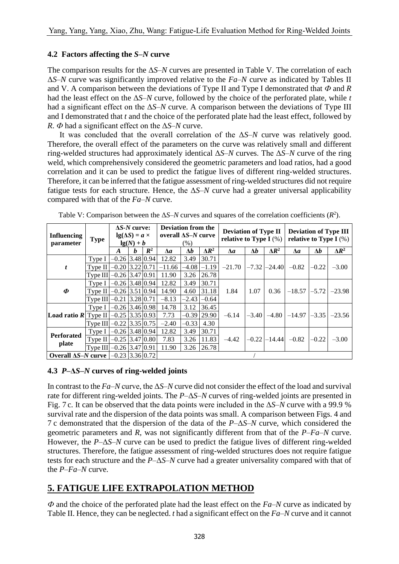### **4.2 Factors affecting the** *S–N* **curve**

The comparison results for the Δ*S–N* curves are presented in Table V. The correlation of each Δ*S–N* curve was significantly improved relative to the *Fa–N* curve as indicated by Tables II and V. A comparison between the deviations of Type II and Type I demonstrated that *Ф* and *R* had the least effect on the Δ*S–N* curve, followed by the choice of the perforated plate, while *t* had a significant effect on the Δ*S–N* curve. A comparison between the deviations of Type III and I demonstrated that *t* and the choice of the perforated plate had the least effect, followed by *R*. *Ф* had a significant effect on the Δ*S–N* curve.

It was concluded that the overall correlation of the Δ*S–N* curve was relatively good. Therefore, the overall effect of the parameters on the curve was relatively small and different ring-welded structures had approximately identical Δ*S–N* curves. The Δ*S–N* curve of the ring weld, which comprehensively considered the geometric parameters and load ratios, had a good correlation and it can be used to predict the fatigue lives of different ring-welded structures. Therefore, it can be inferred that the fatigue assessment of ring-welded structures did not require fatigue tests for each structure. Hence, the Δ*S–N* curve had a greater universal applicability compared with that of the *Fa–N* curve.

| <b>Influencing</b><br>parameter                                                                   | <b>Type</b>                | $\Delta S$ - <i>N</i> curve:<br>$lg(\Delta S) = a \times$<br>$lg(N) + b$ |   |                | <b>Deviation from the</b><br>overall $\Delta S-N$ curve<br>(% ) |            |                 | <b>Deviation of Type II</b><br>relative to Type I $(\%)$ |            |                  | <b>Deviation of Type III</b><br>relative to Type I $(\%)$ |            |                                           |
|---------------------------------------------------------------------------------------------------|----------------------------|--------------------------------------------------------------------------|---|----------------|-----------------------------------------------------------------|------------|-----------------|----------------------------------------------------------|------------|------------------|-----------------------------------------------------------|------------|-------------------------------------------|
|                                                                                                   |                            | $\bm{A}$                                                                 | b | $\mathbb{R}^2$ | $\Delta a$                                                      | $\Delta b$ | $\Delta R^2$    | Лa                                                       | $\Delta b$ | $\Delta R^2$     | $\Delta a$                                                | $\Delta b$ | $\Delta R^2$                              |
|                                                                                                   | Type I                     | $-0.26$ 3.48 0.94                                                        |   |                | 12.82                                                           | 3.49       | 30.71           | $-21.70$                                                 |            | $-7.32 - 24.40$  | $-0.82$                                                   | $-0.22$    | $-3.00$                                   |
| $\boldsymbol{t}$                                                                                  | Type II $-0.20$ 3.22 0.71  |                                                                          |   |                | $-11.66$                                                        |            | $-4.08$ $-1.19$ |                                                          |            |                  |                                                           |            |                                           |
|                                                                                                   | Type III $-0.26$ 3.47 0.91 |                                                                          |   |                | 11.90                                                           | 3.26       | 26.78           |                                                          |            |                  |                                                           |            |                                           |
|                                                                                                   | Type I                     | $-0.26$ 3.48 0.94                                                        |   |                | 12.82                                                           | 3.49       | 30.71           | 1.84                                                     | 1.07       | 0.36             |                                                           |            | $-18.57$ $\mid -5.72 \mid -23.98$         |
| Ф                                                                                                 | Type II $-0.26$ 3.51 0.94  |                                                                          |   |                | 14.90                                                           | 4.60       | 31.18           |                                                          |            |                  |                                                           |            |                                           |
|                                                                                                   | Type III                   | $-0.21$ 3.28 0.71                                                        |   |                | $-8.13$                                                         | $-2.43$    | $-0.64$         |                                                          |            |                  |                                                           |            |                                           |
|                                                                                                   | Type I                     | $-0.26$ 3.46 0.98                                                        |   |                | 14.78                                                           | 3.12       | 36.45           | $-6.14$                                                  |            |                  |                                                           |            | $-3.40$ $-4.80$ $-14.97$ $-3.35$ $-23.56$ |
| <b>Load ratio R</b> Type II $-0.25$ 3.35 0.93                                                     |                            |                                                                          |   |                | 7.73                                                            |            | $-0.39$ 29.90   |                                                          |            |                  |                                                           |            |                                           |
|                                                                                                   | Type III $-0.22$ 3.35 0.75 |                                                                          |   |                | $-2.40$                                                         | $-0.33$    | 4.30            |                                                          |            |                  |                                                           |            |                                           |
| <b>Perforated</b>                                                                                 | Type I                     | $-0.26$ 3.48 0.94                                                        |   |                | 12.82                                                           | 3.49       | 30.71           |                                                          |            | $-0.22$ $-14.44$ | $-0.82$                                                   |            | $-3.00$                                   |
|                                                                                                   | Type II                    | $-0.25$ 3.47 0.80                                                        |   |                | 7.83                                                            | 3.26       | 11.83           | $-4.42$                                                  |            |                  |                                                           | $-0.22$    |                                           |
| plate                                                                                             | Type III $-0.26$ 3.47 0.91 |                                                                          |   |                | 11.90                                                           |            | 3.26 26.78      |                                                          |            |                  |                                                           |            |                                           |
| <b>Overall <math>\Delta S-N</math> curve <math>\left[-0.23\right]3.36\left[0.72\right]</math></b> |                            |                                                                          |   |                |                                                                 |            |                 |                                                          |            |                  |                                                           |            |                                           |

Table V: Comparison between the  $\Delta S$ –*N* curves and squares of the correlation coefficients ( $R^2$ ).

# **4.3** *P***–Δ***S–N* **curves of ring-welded joints**

In contrast to the *Fa–N* curve, the Δ*S–N* curve did not consider the effect of the load and survival rate for different ring-welded joints. The *P*–Δ*S–N* curves of ring-welded joints are presented in Fig. 7 c. It can be observed that the data points were included in the Δ*S–N* curve with a 99.9 % survival rate and the dispersion of the data points was small. A comparison between Figs. 4 and 7 c demonstrated that the dispersion of the data of the *P*–Δ*S–N* curve, which considered the geometric parameters and *R*, was not significantly different from that of the *P*–*Fa–N* curve. However, the *P*–Δ*S–N* curve can be used to predict the fatigue lives of different ring-welded structures. Therefore, the fatigue assessment of ring-welded structures does not require fatigue tests for each structure and the *P*–Δ*S–N* curve had a greater universality compared with that of the *P*–*Fa–N* curve.

# **5. FATIGUE LIFE EXTRAPOLATION METHOD**

*Ф* and the choice of the perforated plate had the least effect on the *Fa–N* curve as indicated by Table II. Hence, they can be neglected. *t* had a significant effect on the *Fa–N* curve and it cannot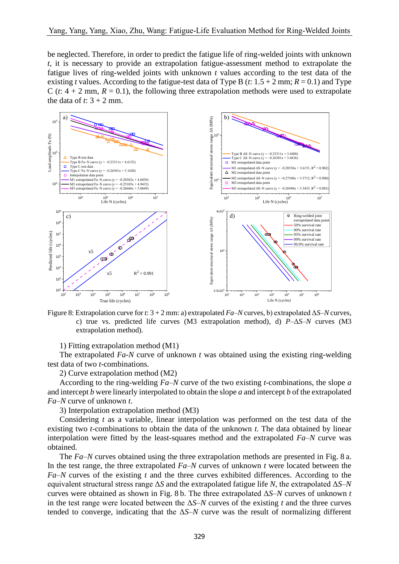be neglected. Therefore, in order to predict the fatigue life of ring-welded joints with unknown *t*, it is necessary to provide an extrapolation fatigue-assessment method to extrapolate the fatigue lives of ring-welded joints with unknown *t* values according to the test data of the existing *t* values. According to the fatigue-test data of Type B (*t*:  $1.5 + 2$  mm;  $R = 0.1$ ) and Type C ( $t$ :  $4 + 2$  mm,  $R = 0.1$ ), the following three extrapolation methods were used to extrapolate the data of  $t: 3 + 2$  mm.



Figure 8: Extrapolation curve for *t*: 3 + 2 mm: a) extrapolated *Fa–N* curves, b) extrapolated Δ*S–N* curves, c) true vs. predicted life curves (M3 extrapolation method), d) *P*–Δ*S–N* curves (M3 extrapolation method).

1) Fitting extrapolation method (M1)

The extrapolated *Fa-N* curve of unknown *t* was obtained using the existing ring-welding test data of two *t*-combinations.

2) Curve extrapolation method (M2)

According to the ring-welding *Fa–N* curve of the two existing *t*-combinations, the slope *a* and intercept *b* were linearly interpolated to obtain the slope *a* and intercept *b* of the extrapolated *Fa–N* curve of unknown *t*.

3) Interpolation extrapolation method (M3)

Considering *t* as a variable, linear interpolation was performed on the test data of the existing two *t*-combinations to obtain the data of the unknown *t*. The data obtained by linear interpolation were fitted by the least-squares method and the extrapolated *Fa–N* curve was obtained.

The *Fa–N* curves obtained using the three extrapolation methods are presented in Fig. 8 a. In the test range, the three extrapolated *Fa–N* curves of unknown *t* were located between the *Fa–N* curves of the existing *t* and the three curves exhibited differences. According to the equivalent structural stress range Δ*S* and the extrapolated fatigue life *N*, the extrapolated Δ*S–N* curves were obtained as shown in Fig. 8 b. The three extrapolated Δ*S–N* curves of unknown *t* in the test range were located between the  $\Delta S$ –*N* curves of the existing *t* and the three curves tended to converge, indicating that the Δ*S–N* curve was the result of normalizing different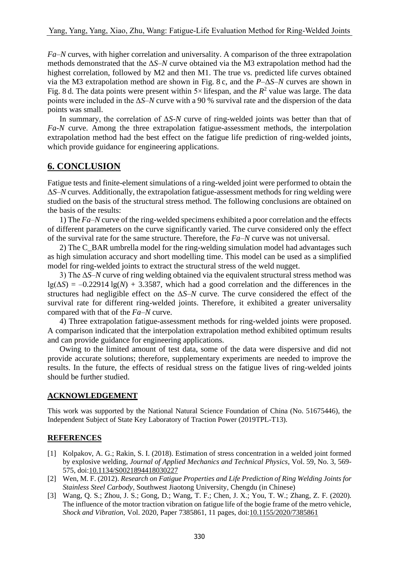*Fa–N* curves, with higher correlation and universality. A comparison of the three extrapolation methods demonstrated that the Δ*S–N* curve obtained via the M3 extrapolation method had the highest correlation, followed by M2 and then M1. The true vs. predicted life curves obtained via the M3 extrapolation method are shown in Fig. 8 c, and the *P*–Δ*S–N* curves are shown in Fig. 8 d. The data points were present within  $5 \times$  lifespan, and the  $R^2$  value was large. The data points were included in the Δ*S–N* curve with a 90 % survival rate and the dispersion of the data points was small.

In summary, the correlation of Δ*S-N* curve of ring-welded joints was better than that of *Fa-N* curve. Among the three extrapolation fatigue-assessment methods, the interpolation extrapolation method had the best effect on the fatigue life prediction of ring-welded joints, which provide guidance for engineering applications.

# **6. CONCLUSION**

Fatigue tests and finite-element simulations of a ring-welded joint were performed to obtain the  $\Delta$ *S–N* curves. Additionally, the extrapolation fatigue-assessment methods for ring welding were studied on the basis of the structural stress method. The following conclusions are obtained on the basis of the results:

1) The *Fa–N* curve of the ring-welded specimens exhibited a poor correlation and the effects of different parameters on the curve significantly varied. The curve considered only the effect of the survival rate for the same structure. Therefore, the *Fa–N* curve was not universal.

2) The C\_BAR umbrella model for the ring-welding simulation model had advantages such as high simulation accuracy and short modelling time. This model can be used as a simplified model for ring-welded joints to extract the structural stress of the weld nugget.

3) The Δ*S–N* curve of ring welding obtained via the equivalent structural stress method was  $\lg(\Delta S) = -0.22914 \lg(N) + 3.3587$ , which had a good correlation and the differences in the structures had negligible effect on the Δ*S–N* curve. The curve considered the effect of the survival rate for different ring-welded joints. Therefore, it exhibited a greater universality compared with that of the *Fa–N* curve.

4) Three extrapolation fatigue-assessment methods for ring-welded joints were proposed. A comparison indicated that the interpolation extrapolation method exhibited optimum results and can provide guidance for engineering applications.

Owing to the limited amount of test data, some of the data were dispersive and did not provide accurate solutions; therefore, supplementary experiments are needed to improve the results. In the future, the effects of residual stress on the fatigue lives of ring-welded joints should be further studied.

#### **ACKNOWLEDGEMENT**

This work was supported by the National Natural Science Foundation of China (No. 51675446), the Independent Subject of State Key Laboratory of Traction Power (2019TPL-T13).

## **REFERENCES**

- [1] Kolpakov, A. G.; Rakin, S. I. (2018). Estimation of stress concentration in a welded joint formed by explosive welding, *Journal of Applied Mechanics and Technical Physics*, Vol. 59, No. 3, 569- 575, doi[:10.1134/S0021894418030227](https://doi.org/10.1134/S0021894418030227)
- [2] Wen, M. F. (2012). *Research on Fatigue Properties and Life Prediction of Ring Welding Joints for Stainless Steel Carbody*, Southwest Jiaotong University, Chengdu (in Chinese)
- [3] Wang, Q. S.; Zhou, J. S.; Gong, D.; Wang, T. F.; Chen, J. X.; You, T. W.; Zhang, Z. F. (2020). The influence of the motor traction vibration on fatigue life of the bogie frame of the metro vehicle, *Shock and Vibration*, Vol. 2020, Paper 7385861, 11 pages, doi[:10.1155/2020/7385861](https://doi.org/10.1155/2020/7385861)